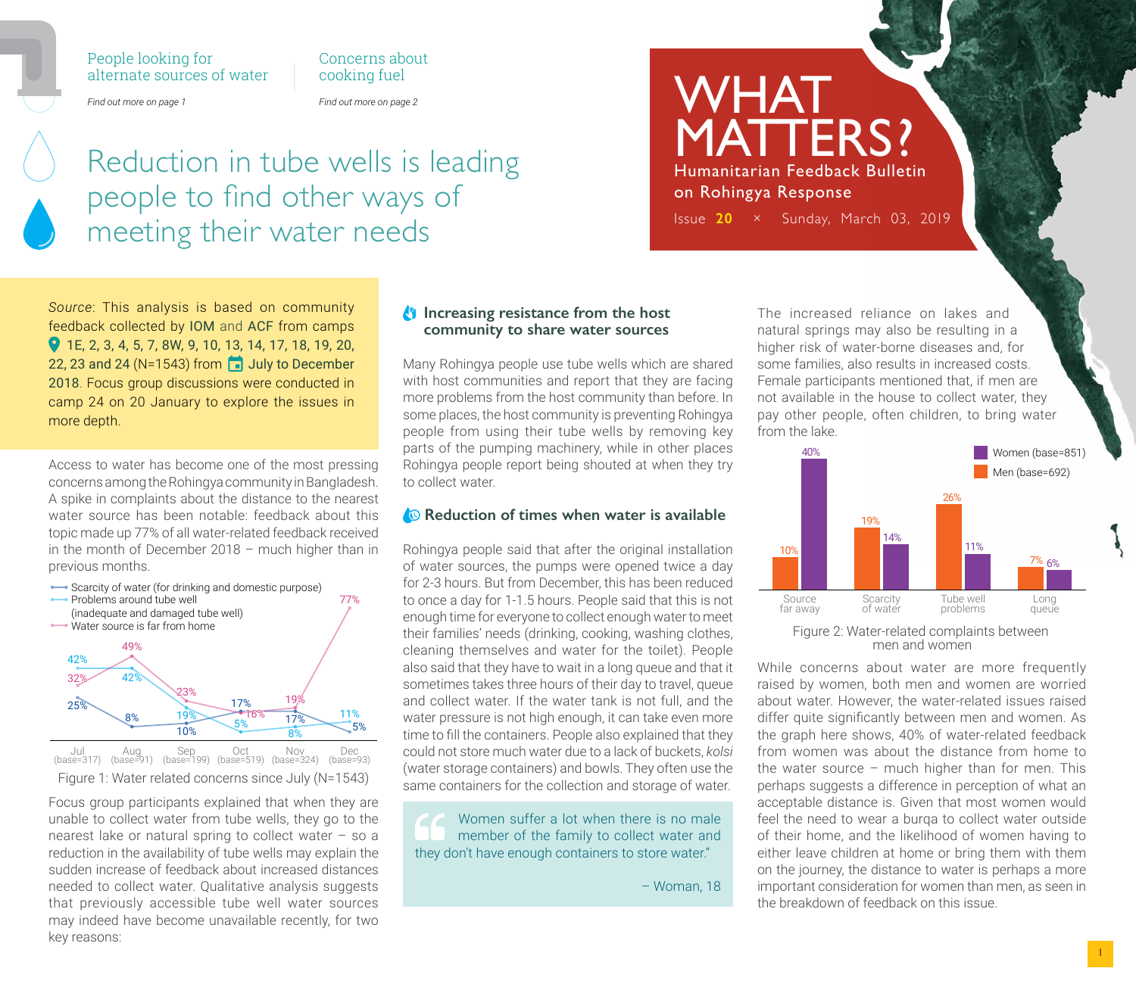#### People looking for alternate sources of water

Concerns about cooking fuel

*Find out more on page 1*

*Find out more on page 2*

77%

## Reduction in tube wells is leading people to find other ways of meeting their water needs

*Source*: This analysis is based on community feedback collected by IOM and ACF from camps **0** 1E, 2, 3, 4, 5, 7, 8W, 9, 10, 13, 14, 17, 18, 19, 20, 22, 23 and 24 (N=1543) from  $\Box$  July to December 2018. Focus group discussions were conducted in camp 24 on 20 January to explore the issues in more depth.

Access to water has become one of the most pressing concerns among the Rohingya community in Bangladesh. A spike in complaints about the distance to the nearest water source has been notable: feedback about this topic made up 77% of all water-related feedback received in the month of December 2018 – much higher than in previous months.

- Scarcity of water (for drinking and domestic purpose)
- Problems around tube well (inadequate and damaged tube well) Water source is far from home 49% 42%



Figure 1: Water related concerns since July (N=1543)

Focus group participants explained that when they are unable to collect water from tube wells, they go to the nearest lake or natural spring to collect water – so a reduction in the availability of tube wells may explain the sudden increase of feedback about increased distances needed to collect water. Qualitative analysis suggests that previously accessible tube well water sources may indeed have become unavailable recently, for two key reasons:

#### **I** Increasing resistance from the host **community to share water sources**

Many Rohingya people use tube wells which are shared with host communities and report that they are facing more problems from the host community than before. In some places, the host community is preventing Rohingya people from using their tube wells by removing key parts of the pumping machinery, while in other places Rohingya people report being shouted at when they try to collect water.

#### **Reduction of times when water is available**

Rohingya people said that after the original installation of water sources, the pumps were opened twice a day for 2-3 hours. But from December, this has been reduced to once a day for 1-1.5 hours. People said that this is not enough time for everyone to collect enough water to meet their families' needs (drinking, cooking, washing clothes, cleaning themselves and water for the toilet). People also said that they have to wait in a long queue and that it sometimes takes three hours of their day to travel, queue and collect water. If the water tank is not full, and the water pressure is not high enough, it can take even more time to fill the containers. People also explained that they could not store much water due to a lack of buckets, *kolsi* (water storage containers) and bowls. They often use the same containers for the collection and storage of water.

Women suffer a lot when there is no male member of the family to collect water and they don't have enough containers to store water."

– Woman, 18

# **WHAT** MATTERS? Humanitarian Feedback Bulletin

on Rohingya Response

Issue **20** × Sunday, March 03, 2019

The increased reliance on lakes and natural springs may also be resulting in a higher risk of water-borne diseases and, for some families, also results in increased costs. Female participants mentioned that, if men are not available in the house to collect water, they pay other people, often children, to bring water from the lake.



Figure 2: Water-related complaints between men and women

While concerns about water are more frequently raised by women, both men and women are worried about water. However, the water-related issues raised differ quite significantly between men and women. As the graph here shows, 40% of water-related feedback from women was about the distance from home to the water source  $-$  much higher than for men. This perhaps suggests a difference in perception of what an acceptable distance is. Given that most women would feel the need to wear a burqa to collect water outside of their home, and the likelihood of women having to either leave children at home or bring them with them on the journey, the distance to water is perhaps a more important consideration for women than men, as seen in the breakdown of feedback on this issue.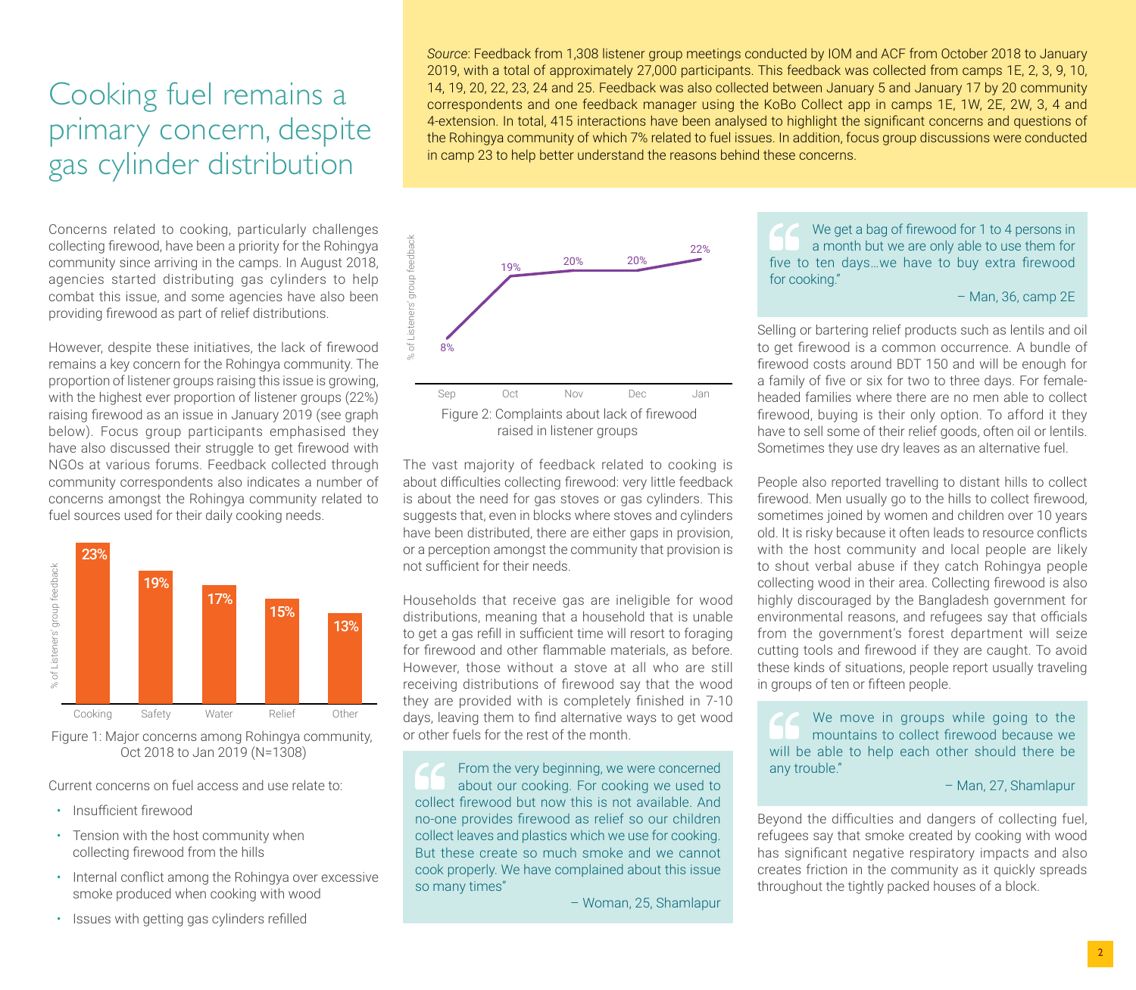### Cooking fuel remains a primary concern, despite gas cylinder distribution

Concerns related to cooking, particularly challenges collecting firewood, have been a priority for the Rohingya community since arriving in the camps. In August 2018, agencies started distributing gas cylinders to help combat this issue, and some agencies have also been providing firewood as part of relief distributions.

However, despite these initiatives, the lack of firewood remains a key concern for the Rohingya community. The proportion of listener groups raising this issue is growing, with the highest ever proportion of listener groups (22%) raising firewood as an issue in January 2019 (see graph below). Focus group participants emphasised they have also discussed their struggle to get firewood with NGOs at various forums. Feedback collected through community correspondents also indicates a number of concerns amongst the Rohingya community related to fuel sources used for their daily cooking needs.



Figure 1: Major concerns among Rohingya community, Oct 2018 to Jan 2019 (N=1308)

Current concerns on fuel access and use relate to:

- Insufficient firewood
- Tension with the host community when collecting firewood from the hills
- Internal conflict among the Rohingya over excessive smoke produced when cooking with wood
- Issues with getting gas cylinders refilled



The vast majority of feedback related to cooking is about difficulties collecting firewood: very little feedback is about the need for gas stoves or gas cylinders. This suggests that, even in blocks where stoves and cylinders have been distributed, there are either gaps in provision, or a perception amongst the community that provision is not sufficient for their needs.

Households that receive gas are ineligible for wood distributions, meaning that a household that is unable to get a gas refill in sufficient time will resort to foraging for firewood and other flammable materials, as before. However, those without a stove at all who are still receiving distributions of firewood say that the wood they are provided with is completely finished in 7-10 days, leaving them to find alternative ways to get wood or other fuels for the rest of the month.

From the very beginning, we were concerned about our cooking. For cooking we used to collect firewood but now this is not available. And no-one provides firewood as relief so our children collect leaves and plastics which we use for cooking. But these create so much smoke and we cannot cook properly. We have complained about this issue so many times"

– Woman, 25, Shamlapur

*Source*: Feedback from 1,308 listener group meetings conducted by IOM and ACF from October 2018 to January 2019, with a total of approximately 27,000 participants. This feedback was collected from camps 1E, 2, 3, 9, 10, 14, 19, 20, 22, 23, 24 and 25. Feedback was also collected between January 5 and January 17 by 20 community correspondents and one feedback manager using the KoBo Collect app in camps 1E, 1W, 2E, 2W, 3, 4 and 4-extension. In total, 415 interactions have been analysed to highlight the significant concerns and questions of the Rohingya community of which 7% related to fuel issues. In addition, focus group discussions were conducted in camp 23 to help better understand the reasons behind these concerns.

> We get a bag of firewood for 1 to 4 persons in a month but we are only able to use them for five to ten days…we have to buy extra firewood for cooking."

> > – Man, 36, camp 2E

Selling or bartering relief products such as lentils and oil to get firewood is a common occurrence. A bundle of firewood costs around BDT 150 and will be enough for a family of five or six for two to three days. For femaleheaded families where there are no men able to collect firewood, buying is their only option. To afford it they have to sell some of their relief goods, often oil or lentils. Sometimes they use dry leaves as an alternative fuel.

People also reported travelling to distant hills to collect firewood. Men usually go to the hills to collect firewood, sometimes joined by women and children over 10 years old. It is risky because it often leads to resource conflicts with the host community and local people are likely to shout verbal abuse if they catch Rohingya people collecting wood in their area. Collecting firewood is also highly discouraged by the Bangladesh government for environmental reasons, and refugees say that officials from the government's forest department will seize cutting tools and firewood if they are caught. To avoid these kinds of situations, people report usually traveling in groups of ten or fifteen people.

We move in groups while going to the mountains to collect firewood because we will be able to help each other should there be any trouble."

– Man, 27, Shamlapur

Beyond the difficulties and dangers of collecting fuel, refugees say that smoke created by cooking with wood has significant negative respiratory impacts and also creates friction in the community as it quickly spreads throughout the tightly packed houses of a block.